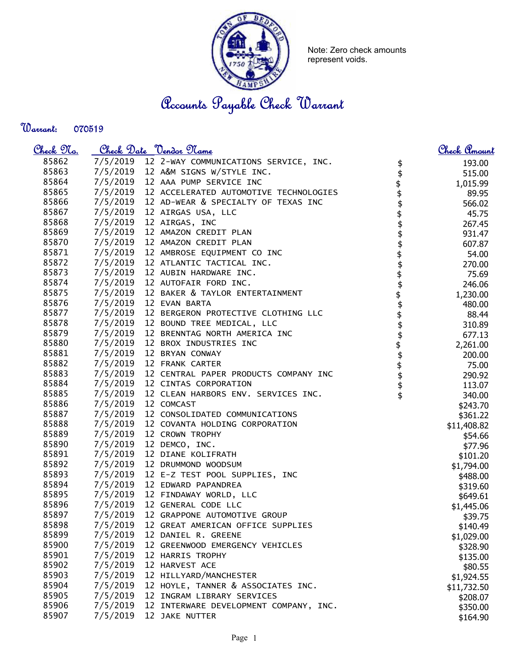

Note: Zero check amounts represent voids.

Accounts Payable Check Warrant

Warrant: 

| <u>Check 97a.</u> |          | Check Date <u>Vendor</u> Name                   | <u>Check Amount</u>                               |
|-------------------|----------|-------------------------------------------------|---------------------------------------------------|
| 85862             |          | 7/5/2019 12 2-WAY COMMUNICATIONS SERVICE, INC.  | 193.00<br>\$                                      |
| 85863             |          | 7/5/2019 12 A&M SIGNS W/STYLE INC.              | 515.00                                            |
| 85864             |          | 7/5/2019 12 AAA PUMP SERVICE INC                | 1,015.99                                          |
| 85865             |          | 7/5/2019 12 ACCELERATED AUTOMOTIVE TECHNOLOGIES | 89.95                                             |
| 85866             |          | 7/5/2019 12 AD-WEAR & SPECIALTY OF TEXAS INC    | 566.02                                            |
| 85867             |          | 7/5/2019 12 AIRGAS USA, LLC                     | 45.75                                             |
| 85868             |          | 7/5/2019 12 AIRGAS, INC                         | \$\$\$\$\$\$<br>267.45                            |
| 85869             |          | 7/5/2019 12 AMAZON CREDIT PLAN                  | 931.47                                            |
| 85870             |          | 7/5/2019 12 AMAZON CREDIT PLAN                  | 607.87                                            |
| 85871             |          | 7/5/2019 12 AMBROSE EQUIPMENT CO INC            | 54.00                                             |
| 85872             |          | 7/5/2019 12 ATLANTIC TACTICAL INC.              | 270.00                                            |
| 85873             |          | 7/5/2019 12 AUBIN HARDWARE INC.                 | 75.69                                             |
| 85874             |          | 7/5/2019 12 AUTOFAIR FORD INC.                  | 246.06                                            |
| 85875             |          | 7/5/2019 12 BAKER & TAYLOR ENTERTAINMENT        | 1,230.00                                          |
| 85876             |          | 7/5/2019 12 EVAN BARTA                          | 480.00                                            |
| 85877             |          | 7/5/2019 12 BERGERON PROTECTIVE CLOTHING LLC    | 88.44                                             |
| 85878             |          | 7/5/2019 12 BOUND TREE MEDICAL, LLC             | 310.89                                            |
| 85879             |          | 7/5/2019 12 BRENNTAG NORTH AMERICA INC          | <b>\$\$\$\$\$\$\$\$\$\$\$\$\$\$\$\$</b><br>677.13 |
| 85880             |          | 7/5/2019 12 BROX INDUSTRIES INC                 | 2,261.00                                          |
| 85881             |          | 7/5/2019 12 BRYAN CONWAY                        | 200.00                                            |
| 85882             |          | 7/5/2019 12 FRANK CARTER                        | 75.00                                             |
| 85883             |          | 7/5/2019 12 CENTRAL PAPER PRODUCTS COMPANY INC  | 290.92                                            |
| 85884             |          | 7/5/2019 12 CINTAS CORPORATION                  | 113.07                                            |
| 85885             |          | 7/5/2019 12 CLEAN HARBORS ENV. SERVICES INC.    | 340.00                                            |
| 85886             |          | 7/5/2019 12 COMCAST                             | \$243.70                                          |
| 85887             |          | 7/5/2019 12 CONSOLIDATED COMMUNICATIONS         | \$361.22                                          |
| 85888             |          | 7/5/2019 12 COVANTA HOLDING CORPORATION         | \$11,408.82                                       |
| 85889             |          | 7/5/2019 12 CROWN TROPHY                        | \$54.66                                           |
| 85890             |          | 7/5/2019 12 DEMCO, INC.                         | \$77.96                                           |
| 85891             |          | 7/5/2019 12 DIANE KOLIFRATH                     | \$101.20                                          |
| 85892             |          | 7/5/2019 12 DRUMMOND WOODSUM                    | \$1,794.00                                        |
| 85893             |          | 7/5/2019 12 E-Z TEST POOL SUPPLIES, INC         | \$488.00                                          |
| 85894             |          | 7/5/2019 12 EDWARD PAPANDREA                    | \$319.60                                          |
| 85895             |          | 7/5/2019 12 FINDAWAY WORLD, LLC                 | \$649.61                                          |
| 85896             |          | 7/5/2019 12 GENERAL CODE LLC                    | \$1,445.06                                        |
| 85897             | 7/5/2019 | 12 GRAPPONE AUTOMOTIVE GROUP                    | \$39.75                                           |
| 85898             | 7/5/2019 | 12 GREAT AMERICAN OFFICE SUPPLIES               | \$140.49                                          |
| 85899             | 7/5/2019 | 12 DANIEL R. GREENE                             | \$1,029.00                                        |
| 85900             | 7/5/2019 | 12 GREENWOOD EMERGENCY VEHICLES                 | \$328.90                                          |
| 85901             | 7/5/2019 | 12 HARRIS TROPHY                                | \$135.00                                          |
| 85902             | 7/5/2019 | 12 HARVEST ACE                                  | \$80.55                                           |
| 85903             | 7/5/2019 | 12 HILLYARD/MANCHESTER                          | \$1,924.55                                        |
| 85904             | 7/5/2019 | 12 HOYLE, TANNER & ASSOCIATES INC.              | \$11,732.50                                       |
| 85905             | 7/5/2019 | 12 INGRAM LIBRARY SERVICES                      | \$208.07                                          |
| 85906             | 7/5/2019 | 12 INTERWARE DEVELOPMENT COMPANY, INC.          | \$350.00                                          |
| 85907             | 7/5/2019 | 12 JAKE NUTTER                                  | \$164.90                                          |